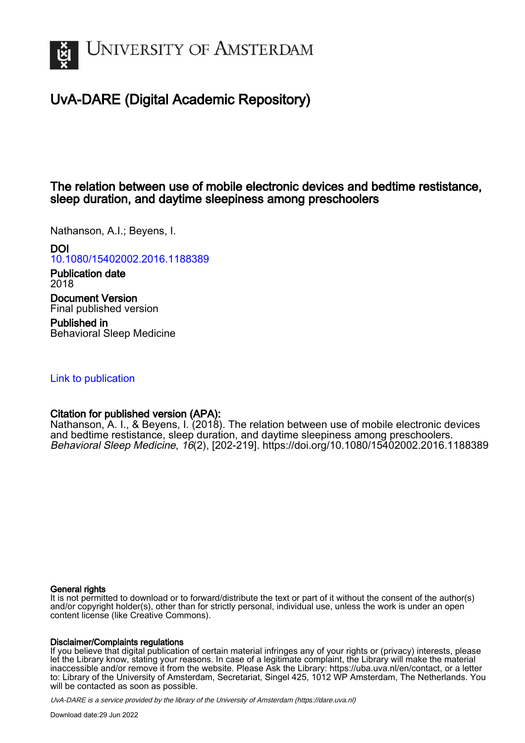

# UvA-DARE (Digital Academic Repository)

# The relation between use of mobile electronic devices and bedtime restistance, sleep duration, and daytime sleepiness among preschoolers

Nathanson, A.I.; Beyens, I.

DOI

[10.1080/15402002.2016.1188389](https://doi.org/10.1080/15402002.2016.1188389)

Publication date 2018

Document Version Final published version

Published in Behavioral Sleep Medicine

## [Link to publication](https://dare.uva.nl/personal/pure/en/publications/the-relation-between-use-of-mobile-electronic-devices-and-bedtime-restistance-sleep-duration-and-daytime-sleepiness-among-preschoolers(41f87c2b-e175-4b86-8d7a-5bde547e3f60).html)

## Citation for published version (APA):

Nathanson, A. I., & Beyens, I. (2018). The relation between use of mobile electronic devices and bedtime restistance, sleep duration, and daytime sleepiness among preschoolers. Behavioral Sleep Medicine, 16(2), [202-219]. <https://doi.org/10.1080/15402002.2016.1188389>

## General rights

It is not permitted to download or to forward/distribute the text or part of it without the consent of the author(s) and/or copyright holder(s), other than for strictly personal, individual use, unless the work is under an open content license (like Creative Commons).

## Disclaimer/Complaints regulations

If you believe that digital publication of certain material infringes any of your rights or (privacy) interests, please let the Library know, stating your reasons. In case of a legitimate complaint, the Library will make the material inaccessible and/or remove it from the website. Please Ask the Library: https://uba.uva.nl/en/contact, or a letter to: Library of the University of Amsterdam, Secretariat, Singel 425, 1012 WP Amsterdam, The Netherlands. You will be contacted as soon as possible.

UvA-DARE is a service provided by the library of the University of Amsterdam (http*s*://dare.uva.nl)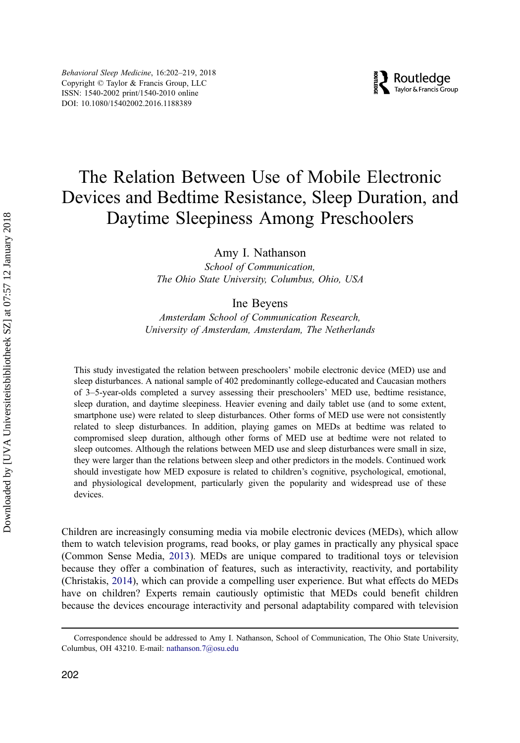

# The Relation Between Use of Mobile Electronic Devices and Bedtime Resistance, Sleep Duration, and Daytime Sleepiness Among Preschoolers

Amy I. Nathanson

School of Communication, The Ohio State University, Columbus, Ohio, USA

## Ine Beyens

Amsterdam School of Communication Research, University of Amsterdam, Amsterdam, The Netherlands

This study investigated the relation between preschoolers' mobile electronic device (MED) use and sleep disturbances. A national sample of 402 predominantly college-educated and Caucasian mothers of 3–5-year-olds completed a survey assessing their preschoolers' MED use, bedtime resistance, sleep duration, and daytime sleepiness. Heavier evening and daily tablet use (and to some extent, smartphone use) were related to sleep disturbances. Other forms of MED use were not consistently related to sleep disturbances. In addition, playing games on MEDs at bedtime was related to compromised sleep duration, although other forms of MED use at bedtime were not related to sleep outcomes. Although the relations between MED use and sleep disturbances were small in size, they were larger than the relations between sleep and other predictors in the models. Continued work should investigate how MED exposure is related to children's cognitive, psychological, emotional, and physiological development, particularly given the popularity and widespread use of these devices.

Children are increasingly consuming media via mobile electronic devices (MEDs), which allow them to watch television programs, read books, or play games in practically any physical space (Common Sense Media, [2013\)](#page-16-0). MEDs are unique compared to traditional toys or television because they offer a combination of features, such as interactivity, reactivity, and portability (Christakis, [2014](#page-16-0)), which can provide a compelling user experience. But what effects do MEDs have on children? Experts remain cautiously optimistic that MEDs could benefit children because the devices encourage interactivity and personal adaptability compared with television

Correspondence should be addressed to Amy I. Nathanson, School of Communication, The Ohio State University, Columbus, OH 43210. E-mail: [nathanson.7@osu.edu](mailto:nathanson.7@osu.edu)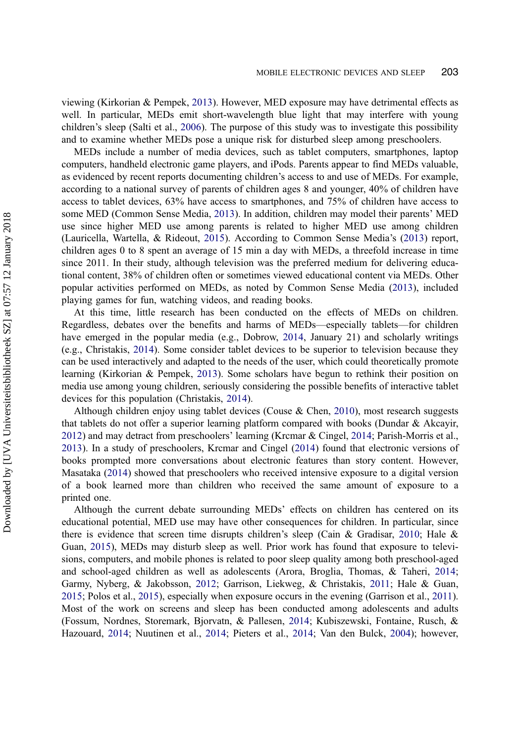viewing (Kirkorian & Pempek, [2013](#page-17-0)). However, MED exposure may have detrimental effects as well. In particular, MEDs emit short-wavelength blue light that may interfere with young children's sleep (Salti et al., [2006](#page-18-0)). The purpose of this study was to investigate this possibility and to examine whether MEDs pose a unique risk for disturbed sleep among preschoolers.

MEDs include a number of media devices, such as tablet computers, smartphones, laptop computers, handheld electronic game players, and iPods. Parents appear to find MEDs valuable, as evidenced by recent reports documenting children's access to and use of MEDs. For example, according to a national survey of parents of children ages 8 and younger, 40% of children have access to tablet devices, 63% have access to smartphones, and 75% of children have access to some MED (Common Sense Media, [2013\)](#page-16-0). In addition, children may model their parents' MED use since higher MED use among parents is related to higher MED use among children (Lauricella, Wartella, & Rideout, [2015\)](#page-17-0). According to Common Sense Media's [\(2013](#page-16-0)) report, children ages 0 to 8 spent an average of 15 min a day with MEDs, a threefold increase in time since 2011. In their study, although television was the preferred medium for delivering educational content, 38% of children often or sometimes viewed educational content via MEDs. Other popular activities performed on MEDs, as noted by Common Sense Media [\(2013](#page-16-0)), included playing games for fun, watching videos, and reading books.

At this time, little research has been conducted on the effects of MEDs on children. Regardless, debates over the benefits and harms of MEDs—especially tablets—for children have emerged in the popular media (e.g., Dobrow, [2014](#page-16-0), January 21) and scholarly writings (e.g., Christakis, [2014](#page-16-0)). Some consider tablet devices to be superior to television because they can be used interactively and adapted to the needs of the user, which could theoretically promote learning (Kirkorian & Pempek, [2013\)](#page-17-0). Some scholars have begun to rethink their position on media use among young children, seriously considering the possible benefits of interactive tablet devices for this population (Christakis, [2014\)](#page-16-0).

Although children enjoy using tablet devices (Couse  $\&$  Chen, [2010\)](#page-16-0), most research suggests that tablets do not offer a superior learning platform compared with books (Dundar & Akcayir, [2012\)](#page-16-0) and may detract from preschoolers' learning (Krcmar & Cingel, [2014](#page-17-0); Parish-Morris et al., [2013\)](#page-18-0). In a study of preschoolers, Krcmar and Cingel ([2014\)](#page-17-0) found that electronic versions of books prompted more conversations about electronic features than story content. However, Masataka ([2014\)](#page-17-0) showed that preschoolers who received intensive exposure to a digital version of a book learned more than children who received the same amount of exposure to a printed one.

Although the current debate surrounding MEDs' effects on children has centered on its educational potential, MED use may have other consequences for children. In particular, since there is evidence that screen time disrupts children's sleep (Cain & Gradisar, [2010;](#page-16-0) Hale & Guan, [2015\)](#page-17-0), MEDs may disturb sleep as well. Prior work has found that exposure to televisions, computers, and mobile phones is related to poor sleep quality among both preschool-aged and school-aged children as well as adolescents (Arora, Broglia, Thomas, & Taheri, [2014;](#page-16-0) Garmy, Nyberg, & Jakobsson, [2012;](#page-16-0) Garrison, Liekweg, & Christakis, [2011](#page-16-0); Hale & Guan, [2015;](#page-17-0) Polos et al., [2015](#page-18-0)), especially when exposure occurs in the evening (Garrison et al., [2011\)](#page-16-0). Most of the work on screens and sleep has been conducted among adolescents and adults (Fossum, Nordnes, Storemark, Bjorvatn, & Pallesen, [2014;](#page-16-0) Kubiszewski, Fontaine, Rusch, & Hazouard, [2014;](#page-17-0) Nuutinen et al., [2014](#page-18-0); Pieters et al., [2014;](#page-18-0) Van den Bulck, [2004](#page-18-0)); however,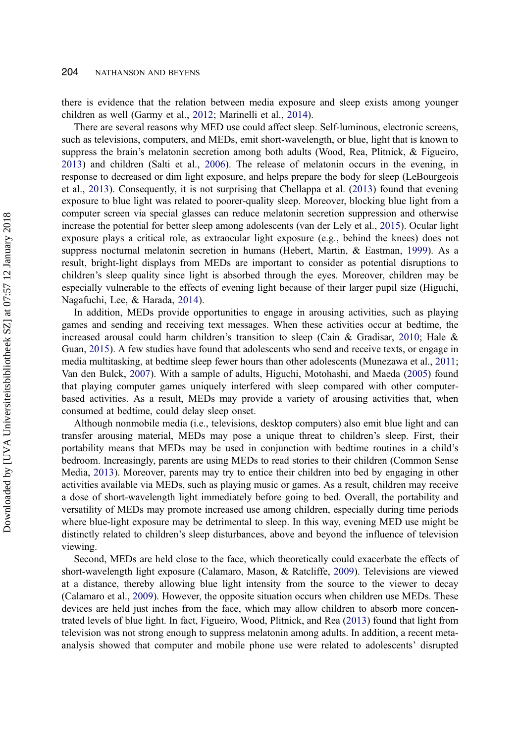there is evidence that the relation between media exposure and sleep exists among younger children as well (Garmy et al., [2012;](#page-16-0) Marinelli et al., [2014](#page-17-0)).

There are several reasons why MED use could affect sleep. Self-luminous, electronic screens, such as televisions, computers, and MEDs, emit short-wavelength, or blue, light that is known to suppress the brain's melatonin secretion among both adults (Wood, Rea, Plitnick, & Figueiro, [2013\)](#page-18-0) and children (Salti et al., [2006](#page-18-0)). The release of melatonin occurs in the evening, in response to decreased or dim light exposure, and helps prepare the body for sleep (LeBourgeois et al., [2013\)](#page-17-0). Consequently, it is not surprising that Chellappa et al. [\(2013](#page-16-0)) found that evening exposure to blue light was related to poorer-quality sleep. Moreover, blocking blue light from a computer screen via special glasses can reduce melatonin secretion suppression and otherwise increase the potential for better sleep among adolescents (van der Lely et al., [2015](#page-18-0)). Ocular light exposure plays a critical role, as extraocular light exposure (e.g., behind the knees) does not suppress nocturnal melatonin secretion in humans (Hebert, Martin, & Eastman, [1999](#page-17-0)). As a result, bright-light displays from MEDs are important to consider as potential disruptions to children's sleep quality since light is absorbed through the eyes. Moreover, children may be especially vulnerable to the effects of evening light because of their larger pupil size (Higuchi, Nagafuchi, Lee, & Harada, [2014\)](#page-17-0).

In addition, MEDs provide opportunities to engage in arousing activities, such as playing games and sending and receiving text messages. When these activities occur at bedtime, the increased arousal could harm children's transition to sleep (Cain & Gradisar, [2010](#page-16-0); Hale & Guan, [2015](#page-17-0)). A few studies have found that adolescents who send and receive texts, or engage in media multitasking, at bedtime sleep fewer hours than other adolescents (Munezawa et al., [2011;](#page-17-0) Van den Bulck, [2007\)](#page-18-0). With a sample of adults, Higuchi, Motohashi, and Maeda ([2005\)](#page-17-0) found that playing computer games uniquely interfered with sleep compared with other computerbased activities. As a result, MEDs may provide a variety of arousing activities that, when consumed at bedtime, could delay sleep onset.

Although nonmobile media (i.e., televisions, desktop computers) also emit blue light and can transfer arousing material, MEDs may pose a unique threat to children's sleep. First, their portability means that MEDs may be used in conjunction with bedtime routines in a child's bedroom. Increasingly, parents are using MEDs to read stories to their children (Common Sense Media, [2013\)](#page-16-0). Moreover, parents may try to entice their children into bed by engaging in other activities available via MEDs, such as playing music or games. As a result, children may receive a dose of short-wavelength light immediately before going to bed. Overall, the portability and versatility of MEDs may promote increased use among children, especially during time periods where blue-light exposure may be detrimental to sleep. In this way, evening MED use might be distinctly related to children's sleep disturbances, above and beyond the influence of television viewing.

Second, MEDs are held close to the face, which theoretically could exacerbate the effects of short-wavelength light exposure (Calamaro, Mason, & Ratcliffe, [2009](#page-16-0)). Televisions are viewed at a distance, thereby allowing blue light intensity from the source to the viewer to decay (Calamaro et al., [2009\)](#page-16-0). However, the opposite situation occurs when children use MEDs. These devices are held just inches from the face, which may allow children to absorb more concentrated levels of blue light. In fact, Figueiro, Wood, Plitnick, and Rea ([2013\)](#page-16-0) found that light from television was not strong enough to suppress melatonin among adults. In addition, a recent metaanalysis showed that computer and mobile phone use were related to adolescents' disrupted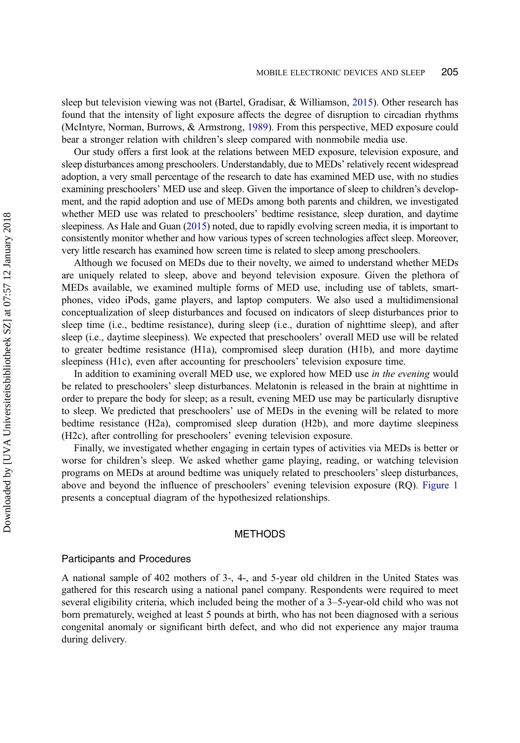sleep but television viewing was not (Bartel, Gradisar, & Williamson, [2015\)](#page-16-0). Other research has found that the intensity of light exposure affects the degree of disruption to circadian rhythms (McIntyre, Norman, Burrows, & Armstrong, [1989\)](#page-17-0). From this perspective, MED exposure could bear a stronger relation with children's sleep compared with nonmobile media use.

Our study offers a first look at the relations between MED exposure, television exposure, and sleep disturbances among preschoolers. Understandably, due to MEDs' relatively recent widespread adoption, a very small percentage of the research to date has examined MED use, with no studies examining preschoolers' MED use and sleep. Given the importance of sleep to children's development, and the rapid adoption and use of MEDs among both parents and children, we investigated whether MED use was related to preschoolers' bedtime resistance, sleep duration, and daytime sleepiness. As Hale and Guan ([2015](#page-17-0)) noted, due to rapidly evolving screen media, it is important to consistently monitor whether and how various types of screen technologies affect sleep. Moreover, very little research has examined how screen time is related to sleep among preschoolers.

Although we focused on MEDs due to their novelty, we aimed to understand whether MEDs are uniquely related to sleep, above and beyond television exposure. Given the plethora of MEDs available, we examined multiple forms of MED use, including use of tablets, smartphones, video iPods, game players, and laptop computers. We also used a multidimensional conceptualization of sleep disturbances and focused on indicators of sleep disturbances prior to sleep time (i.e., bedtime resistance), during sleep (i.e., duration of nighttime sleep), and after sleep (i.e., daytime sleepiness). We expected that preschoolers' overall MED use will be related to greater bedtime resistance (H1a), compromised sleep duration (H1b), and more daytime sleepiness (H1c), even after accounting for preschoolers' television exposure time.

In addition to examining overall MED use, we explored how MED use *in the evening* would be related to preschoolers' sleep disturbances. Melatonin is released in the brain at nighttime in order to prepare the body for sleep; as a result, evening MED use may be particularly disruptive to sleep. We predicted that preschoolers' use of MEDs in the evening will be related to more bedtime resistance (H2a), compromised sleep duration (H2b), and more daytime sleepiness (H2c), after controlling for preschoolers' evening television exposure.

Finally, we investigated whether engaging in certain types of activities via MEDs is better or worse for children's sleep. We asked whether game playing, reading, or watching television programs on MEDs at around bedtime was uniquely related to preschoolers' sleep disturbances, above and beyond the influence of preschoolers' evening television exposure (RQ). [Figure 1](#page-5-0) presents a conceptual diagram of the hypothesized relationships.

#### METHODS

#### Participants and Procedures

A national sample of 402 mothers of 3-, 4-, and 5-year old children in the United States was gathered for this research using a national panel company. Respondents were required to meet several eligibility criteria, which included being the mother of a 3–5-year-old child who was not born prematurely, weighed at least 5 pounds at birth, who has not been diagnosed with a serious congenital anomaly or significant birth defect, and who did not experience any major trauma during delivery.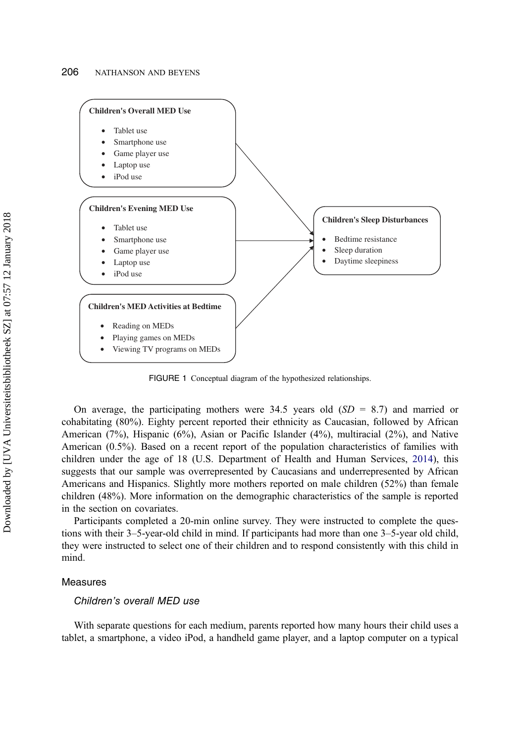<span id="page-5-0"></span>

FIGURE 1 Conceptual diagram of the hypothesized relationships.

On average, the participating mothers were 34.5 years old  $(SD = 8.7)$  and married or cohabitating (80%). Eighty percent reported their ethnicity as Caucasian, followed by African American (7%), Hispanic (6%), Asian or Pacific Islander (4%), multiracial (2%), and Native American (0.5%). Based on a recent report of the population characteristics of families with children under the age of 18 (U.S. Department of Health and Human Services, [2014\)](#page-18-0), this suggests that our sample was overrepresented by Caucasians and underrepresented by African Americans and Hispanics. Slightly more mothers reported on male children (52%) than female children (48%). More information on the demographic characteristics of the sample is reported in the section on covariates.

Participants completed a 20-min online survey. They were instructed to complete the questions with their 3–5-year-old child in mind. If participants had more than one 3–5-year old child, they were instructed to select one of their children and to respond consistently with this child in mind.

### Measures

## Children's overall MED use

With separate questions for each medium, parents reported how many hours their child uses a tablet, a smartphone, a video iPod, a handheld game player, and a laptop computer on a typical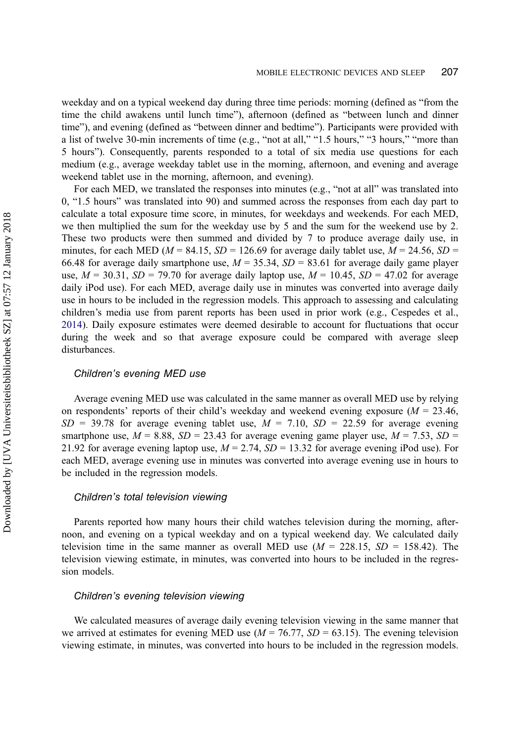weekday and on a typical weekend day during three time periods: morning (defined as "from the time the child awakens until lunch time"), afternoon (defined as "between lunch and dinner time"), and evening (defined as "between dinner and bedtime"). Participants were provided with a list of twelve 30-min increments of time (e.g., "not at all," "1.5 hours," "3 hours," "more than 5 hours"). Consequently, parents responded to a total of six media use questions for each medium (e.g., average weekday tablet use in the morning, afternoon, and evening and average weekend tablet use in the morning, afternoon, and evening).

For each MED, we translated the responses into minutes (e.g., "not at all" was translated into 0, "1.5 hours" was translated into 90) and summed across the responses from each day part to calculate a total exposure time score, in minutes, for weekdays and weekends. For each MED, we then multiplied the sum for the weekday use by 5 and the sum for the weekend use by 2. These two products were then summed and divided by 7 to produce average daily use, in minutes, for each MED ( $M = 84.15$ ,  $SD = 126.69$  for average daily tablet use,  $M = 24.56$ ,  $SD =$ 66.48 for average daily smartphone use,  $M = 35.34$ ,  $SD = 83.61$  for average daily game player use,  $M = 30.31$ ,  $SD = 79.70$  for average daily laptop use,  $M = 10.45$ ,  $SD = 47.02$  for average daily iPod use). For each MED, average daily use in minutes was converted into average daily use in hours to be included in the regression models. This approach to assessing and calculating children's media use from parent reports has been used in prior work (e.g., Cespedes et al., [2014\)](#page-16-0). Daily exposure estimates were deemed desirable to account for fluctuations that occur during the week and so that average exposure could be compared with average sleep disturbances.

#### Children's evening MED use

Average evening MED use was calculated in the same manner as overall MED use by relying on respondents' reports of their child's weekday and weekend evening exposure ( $M = 23.46$ ,  $SD = 39.78$  for average evening tablet use,  $M = 7.10$ ,  $SD = 22.59$  for average evening smartphone use,  $M = 8.88$ ,  $SD = 23.43$  for average evening game player use,  $M = 7.53$ ,  $SD =$ 21.92 for average evening laptop use,  $M = 2.74$ ,  $SD = 13.32$  for average evening iPod use). For each MED, average evening use in minutes was converted into average evening use in hours to be included in the regression models.

#### Children's total television viewing

Parents reported how many hours their child watches television during the morning, afternoon, and evening on a typical weekday and on a typical weekend day. We calculated daily television time in the same manner as overall MED use  $(M = 228.15, SD = 158.42)$ . The television viewing estimate, in minutes, was converted into hours to be included in the regression models.

#### Children's evening television viewing

We calculated measures of average daily evening television viewing in the same manner that we arrived at estimates for evening MED use ( $M = 76.77$ ,  $SD = 63.15$ ). The evening television viewing estimate, in minutes, was converted into hours to be included in the regression models.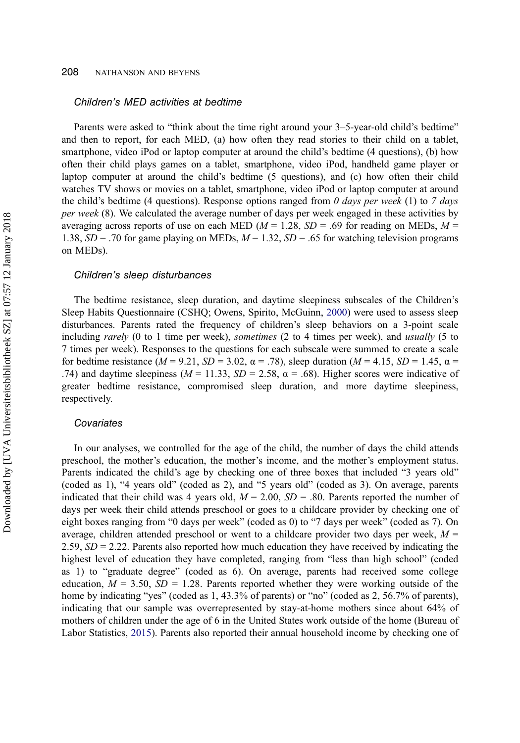#### Children's MED activities at bedtime

Parents were asked to "think about the time right around your 3-5-year-old child's bedtime" and then to report, for each MED, (a) how often they read stories to their child on a tablet, smartphone, video iPod or laptop computer at around the child's bedtime (4 questions), (b) how often their child plays games on a tablet, smartphone, video iPod, handheld game player or laptop computer at around the child's bedtime (5 questions), and (c) how often their child watches TV shows or movies on a tablet, smartphone, video iPod or laptop computer at around the child's bedtime (4 questions). Response options ranged from 0 days per week (1) to 7 days per week (8). We calculated the average number of days per week engaged in these activities by averaging across reports of use on each MED ( $M = 1.28$ ,  $SD = .69$  for reading on MEDs,  $M =$ 1.38,  $SD = .70$  for game playing on MEDs,  $M = 1.32$ ,  $SD = .65$  for watching television programs on MEDs).

#### Children's sleep disturbances

The bedtime resistance, sleep duration, and daytime sleepiness subscales of the Children's Sleep Habits Questionnaire (CSHQ; Owens, Spirito, McGuinn, [2000\)](#page-18-0) were used to assess sleep disturbances. Parents rated the frequency of children's sleep behaviors on a 3-point scale including *rarely* (0 to 1 time per week), *sometimes* (2 to 4 times per week), and *usually* (5 to 7 times per week). Responses to the questions for each subscale were summed to create a scale for bedtime resistance  $(M = 9.21, SD = 3.02, \alpha = .78)$ , sleep duration  $(M = 4.15, SD = 1.45, \alpha = .78)$ .74) and daytime sleepiness ( $M = 11.33$ ,  $SD = 2.58$ ,  $\alpha = .68$ ). Higher scores were indicative of greater bedtime resistance, compromised sleep duration, and more daytime sleepiness, respectively.

#### Covariates

In our analyses, we controlled for the age of the child, the number of days the child attends preschool, the mother's education, the mother's income, and the mother's employment status. Parents indicated the child's age by checking one of three boxes that included "3 years old" (coded as 1), "4 years old" (coded as 2), and "5 years old" (coded as 3). On average, parents indicated that their child was 4 years old,  $M = 2.00$ ,  $SD = .80$ . Parents reported the number of days per week their child attends preschool or goes to a childcare provider by checking one of eight boxes ranging from "0 days per week" (coded as 0) to "7 days per week" (coded as 7). On average, children attended preschool or went to a childcare provider two days per week,  $M =$ 2.59,  $SD = 2.22$ . Parents also reported how much education they have received by indicating the highest level of education they have completed, ranging from "less than high school" (coded as 1) to "graduate degree" (coded as 6). On average, parents had received some college education,  $M = 3.50$ ,  $SD = 1.28$ . Parents reported whether they were working outside of the home by indicating "yes" (coded as 1, 43.3% of parents) or "no" (coded as 2, 56.7% of parents), indicating that our sample was overrepresented by stay-at-home mothers since about 64% of mothers of children under the age of 6 in the United States work outside of the home (Bureau of Labor Statistics, [2015\)](#page-16-0). Parents also reported their annual household income by checking one of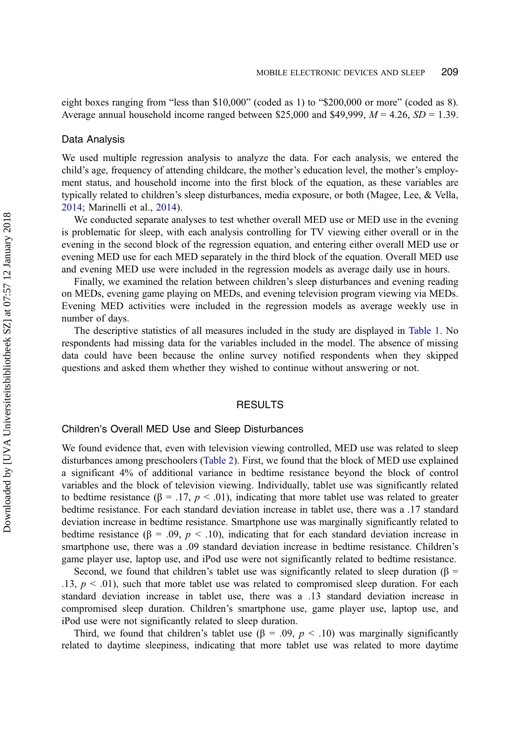<span id="page-8-0"></span>eight boxes ranging from "less than \$10,000" (coded as 1) to "\$200,000 or more" (coded as 8). Average annual household income ranged between \$25,000 and \$49,999,  $M = 4.26$ ,  $SD = 1.39$ .

#### Data Analysis

We used multiple regression analysis to analyze the data. For each analysis, we entered the child's age, frequency of attending childcare, the mother's education level, the mother's employment status, and household income into the first block of the equation, as these variables are typically related to children's sleep disturbances, media exposure, or both (Magee, Lee, & Vella, [2014;](#page-17-0) Marinelli et al., [2014](#page-17-0)).

We conducted separate analyses to test whether overall MED use or MED use in the evening is problematic for sleep, with each analysis controlling for TV viewing either overall or in the evening in the second block of the regression equation, and entering either overall MED use or evening MED use for each MED separately in the third block of the equation. Overall MED use and evening MED use were included in the regression models as average daily use in hours.

Finally, we examined the relation between children's sleep disturbances and evening reading on MEDs, evening game playing on MEDs, and evening television program viewing via MEDs. Evening MED activities were included in the regression models as average weekly use in number of days.

The descriptive statistics of all measures included in the study are displayed in Table 1. No respondents had missing data for the variables included in the model. The absence of missing data could have been because the online survey notified respondents when they skipped questions and asked them whether they wished to continue without answering or not.

#### RESULTS

#### Children's Overall MED Use and Sleep Disturbances

We found evidence that, even with television viewing controlled, MED use was related to sleep disturbances among preschoolers (Table 2). First, we found that the block of MED use explained a significant 4% of additional variance in bedtime resistance beyond the block of control variables and the block of television viewing. Individually, tablet use was significantly related to bedtime resistance ( $\beta = .17$ ,  $p < .01$ ), indicating that more tablet use was related to greater bedtime resistance. For each standard deviation increase in tablet use, there was a .17 standard deviation increase in bedtime resistance. Smartphone use was marginally significantly related to bedtime resistance ( $\beta = .09$ ,  $p < .10$ ), indicating that for each standard deviation increase in smartphone use, there was a .09 standard deviation increase in bedtime resistance. Children's game player use, laptop use, and iPod use were not significantly related to bedtime resistance.

Second, we found that children's tablet use was significantly related to sleep duration ( $\beta$  =  $.13, p \leq .01$ , such that more tablet use was related to compromised sleep duration. For each standard deviation increase in tablet use, there was a .13 standard deviation increase in compromised sleep duration. Children's smartphone use, game player use, laptop use, and iPod use were not significantly related to sleep duration.

Third, we found that children's tablet use ( $\beta = .09$ ,  $p < .10$ ) was marginally significantly related to daytime sleepiness, indicating that more tablet use was related to more daytime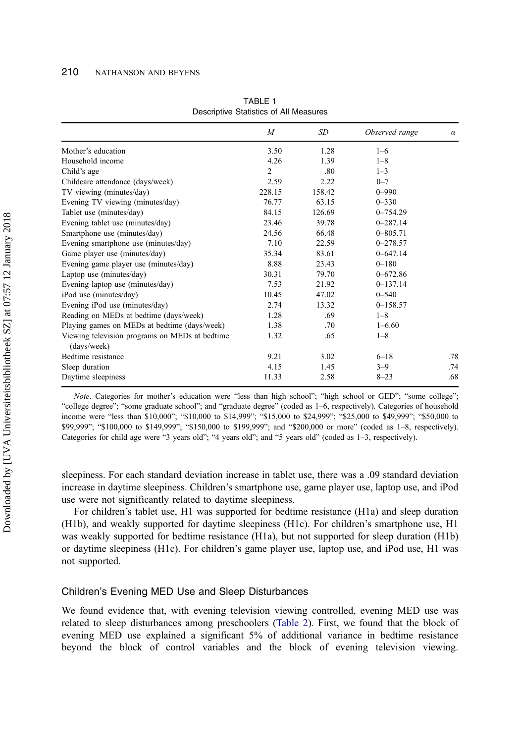|                                                               | $\boldsymbol{M}$ | SD     | Observed range | $\alpha$ |
|---------------------------------------------------------------|------------------|--------|----------------|----------|
| Mother's education                                            | 3.50             | 1.28   | $1 - 6$        |          |
| Household income                                              | 4.26             | 1.39   | $1 - 8$        |          |
| Child's age                                                   | $\overline{2}$   | .80    | $1 - 3$        |          |
| Childcare attendance (days/week)                              | 2.59             | 2.22   | $0 - 7$        |          |
| TV viewing (minutes/day)                                      | 228.15           | 158.42 | $0 - 990$      |          |
| Evening TV viewing (minutes/day)                              | 76.77            | 63.15  | $0 - 330$      |          |
| Tablet use (minutes/day)                                      | 84.15            | 126.69 | $0 - 754.29$   |          |
| Evening tablet use (minutes/day)                              | 23.46            | 39.78  | $0 - 287.14$   |          |
| Smartphone use (minutes/day)                                  | 24.56            | 66.48  | $0 - 805.71$   |          |
| Evening smartphone use (minutes/day)                          | 7.10             | 22.59  | $0 - 278.57$   |          |
| Game player use (minutes/day)                                 | 35.34            | 83.61  | $0 - 647.14$   |          |
| Evening game player use (minutes/day)                         | 8.88             | 23.43  | $0 - 180$      |          |
| Laptop use (minutes/day)                                      | 30.31            | 79.70  | $0 - 672.86$   |          |
| Evening laptop use (minutes/day)                              | 7.53             | 21.92  | $0 - 137.14$   |          |
| iPod use (minutes/day)                                        | 10.45            | 47.02  | $0 - 540$      |          |
| Evening iPod use (minutes/day)                                | 2.74             | 13.32  | $0 - 158.57$   |          |
| Reading on MEDs at bedtime (days/week)                        | 1.28             | .69    | $1 - 8$        |          |
| Playing games on MEDs at bedtime (days/week)                  | 1.38             | .70    | $1 - 6.60$     |          |
| Viewing television programs on MEDs at bedtime<br>(days/week) | 1.32             | .65    | $1 - 8$        |          |
| Bedtime resistance                                            | 9.21             | 3.02   | $6 - 18$       | .78      |
| Sleep duration                                                | 4.15             | 1.45   | $3 - 9$        | .74      |
| Daytime sleepiness                                            | 11.33            | 2.58   | $8 - 23$       | .68      |

TABLE 1 Descriptive Statistics of All Measures

Note. Categories for mother's education were "less than high school"; "high school or GED"; "some college"; "college degree"; "some graduate school"; and "graduate degree" (coded as 1–6, respectively). Categories of household income were "less than \$10,000"; "\$10,000 to \$14,999"; "\$15,000 to \$24,999"; "\$25,000 to \$49,999"; "\$50,000 to \$99,999"; "\$100,000 to \$149,999"; "\$150,000 to \$199,999"; and "\$200,000 or more" (coded as 1–8, respectively). Categories for child age were "3 years old"; "4 years old"; and "5 years old" (coded as 1–3, respectively).

sleepiness. For each standard deviation increase in tablet use, there was a .09 standard deviation increase in daytime sleepiness. Children's smartphone use, game player use, laptop use, and iPod use were not significantly related to daytime sleepiness.

For children's tablet use, H1 was supported for bedtime resistance (H1a) and sleep duration (H1b), and weakly supported for daytime sleepiness (H1c). For children's smartphone use, H1 was weakly supported for bedtime resistance (H1a), but not supported for sleep duration (H1b) or daytime sleepiness (H1c). For children's game player use, laptop use, and iPod use, H1 was not supported.

#### Children's Evening MED Use and Sleep Disturbances

We found evidence that, with evening television viewing controlled, evening MED use was related to sleep disturbances among preschoolers ([Table 2\)](#page-8-0). First, we found that the block of evening MED use explained a significant 5% of additional variance in bedtime resistance beyond the block of control variables and the block of evening television viewing.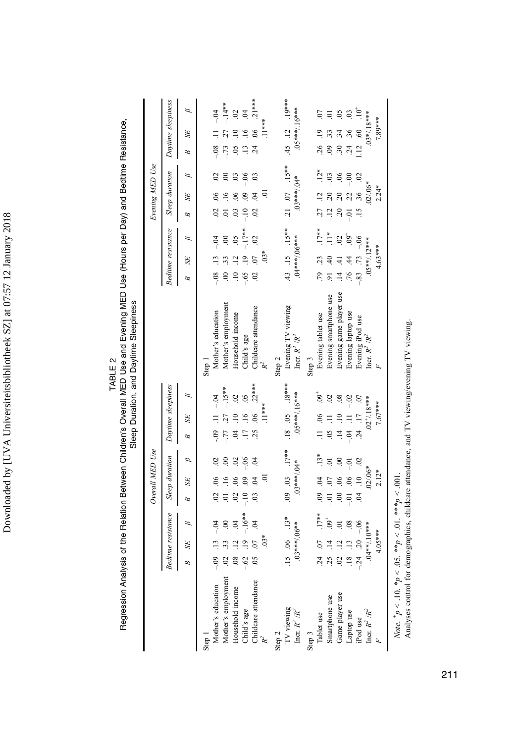| $\zeta$<br>l<br>١ |
|-------------------|
|                   |
| I                 |
| I                 |
| くさししく<br>ï        |
|                   |
|                   |
|                   |
|                   |
| ١                 |
|                   |
|                   |
|                   |
|                   |
|                   |
|                   |
|                   |
| $\frac{1}{2}$     |
|                   |
| $\overline{1}$    |
| j                 |
|                   |
|                   |
|                   |
|                   |
|                   |
| I.                |
|                   |
|                   |
|                   |
|                   |
|                   |
|                   |
| $-22$             |
|                   |
| ĺ<br>Í            |

|                                                                                                                              |                                                        | Overall MED Use                         |                                                       |                         |                                          | Evening MED Use                               |                                                        |
|------------------------------------------------------------------------------------------------------------------------------|--------------------------------------------------------|-----------------------------------------|-------------------------------------------------------|-------------------------|------------------------------------------|-----------------------------------------------|--------------------------------------------------------|
|                                                                                                                              | Bedtime resistance                                     | Sleep duration                          | Daytime sleepiness                                    |                         | Bedtime resistance                       | Sleep duration                                | Daytime sleepiness                                     |
|                                                                                                                              | $\mathscr{E}$<br>SE<br>$\boldsymbol{B}$                | B<br>SE<br>B                            | $\mathscr{B}$<br>SE <sub></sub><br>B                  |                         | $\mathscr{E}$<br>SE<br>B                 | $\mathscr{B}$<br>SE<br>B                      | $\mathscr{E}$<br>SE <sub></sub><br>B                   |
| Step 1                                                                                                                       |                                                        |                                         |                                                       | Step 1                  |                                          |                                               |                                                        |
|                                                                                                                              |                                                        | $\frac{6}{5}$<br>S                      | $-0.0$                                                | Mother's education      | $-0.4$<br>$-08$                          | $\overline{0}$<br>$\frac{6}{5}$<br>S          | $-0.4$<br>$-0.8$                                       |
|                                                                                                                              | 33                                                     | $\mathbf{S}$<br>.16<br>ā                | $-.15**$<br>27<br>$-77$                               | Mother's employment     | $\circ$<br>$\frac{6}{1}$                 | $\circ$<br>.16<br>ē                           | $-14**$<br>27<br>$-73$                                 |
|                                                                                                                              | $-0.4$<br>$\overline{12}$<br>$60 - 08$                 | $-02$<br>06<br>$-02$                    | $-0.2$<br>$\overline{10}$<br>$-0.4$                   | Household income        | $-0.5$<br>$\overline{12}$<br>$-10$       | $-0.3$<br>.06<br>$-03$                        | $-02$<br>$\overline{10}$<br>$-0.5$                     |
|                                                                                                                              | $-.16**$<br>$\overline{.}$<br>$-.62$                   | $-06$<br>$\overline{0}$<br>$-10$        | $\overline{0}$<br>$\overline{.16}$<br>$\overline{11}$ | Child's age             | $-17**$<br>$\ddot{.}$<br>$-65$           | $-06$<br>$\overline{0}$<br>$-10$              | $\widetilde{q}$<br>$\overline{.16}$<br>$\overline{13}$ |
|                                                                                                                              | $\widetilde{q}$<br>$\overline{0}$ .<br>$\widetilde{S}$ | Ś<br>$\overline{6}$<br>$\mathcal{S}$    | $.22***$<br>$\overline{0}$<br>25                      | Childcare attendance    | $\approx$<br>$\overline{0}$<br>$\approx$ | $\overline{0}$<br>$\overline{6}$<br>$\approx$ | $.21***$<br>$\overline{0}$<br>24                       |
| Mother's education<br>Mother's employment<br>Household income<br>Child's age<br>Childcare attendance<br>Childcare attendance | $03*$                                                  | ā                                       | $11***$                                               | $\mathbb{R}^2$          | $03*$                                    | ā                                             | $11***$                                                |
|                                                                                                                              |                                                        |                                         |                                                       | Step 2                  |                                          |                                               |                                                        |
|                                                                                                                              | $.13*$<br>$\frac{6}{20}$<br>$\sim$                     | $17**$<br>$.09 - .03$                   | $.18***$<br>$\widetilde{S}0$ .<br>$\frac{8}{18}$      | Evening TV viewing      | $.15**$<br>43 .15                        | $.15***$<br>$.21 - .07$                       | $.19***$<br>45 .12                                     |
| Step 2<br>TV viewing<br>Incr. $R^2/R^2$                                                                                      | .03****.06**                                           | $.03***04*$                             | $.05***/16***$                                        | Incr. $R^2\, / R^2$     | ,04*** 90.                               | $.03***04*$                                   | $.05***116***$                                         |
| Step 3<br>Tablet use<br>Smartphone use<br>Smartphone use<br>Laptop use<br>Laptop use<br>iPod use<br>Incr. $R^2/R^2$          |                                                        |                                         |                                                       | Step 3                  |                                          |                                               |                                                        |
|                                                                                                                              | $.17**$<br>0                                           | $\ddot{13}$<br>Ś<br>$\ddot{\mathrm{S}}$ | $.09^{+}$<br>$\sim$                                   | Evening tablet use      | $.17**$<br>S.<br>56.                     | $.12*$<br>$\ddot{5}$<br>27                    | 07<br>$\ddot{ }$<br>26                                 |
|                                                                                                                              | $^+$ 60.<br>$\ddot{=}$<br>$\tilde{\mathcal{L}}$        | $-0$<br>$\ddot{\theta}$<br>$-0$         | $\mathfrak{S}$<br>Ξ<br>$\sim$                         | Evening smartphone use  | $\stackrel{*}{=}$<br>$\ddot{ }$<br>5.    | $-0.5$<br>20<br>$-12$                         | $\Xi$<br>$\ddot{3}$<br>60                              |
|                                                                                                                              | $\ddot{5}$<br>$\overline{S}$                           | $-0$<br>$\widetilde{9}$<br>$-0$         | 08<br>$\overline{10}$<br>$\vec{=}$                    | Evening game player use | $-0.2$<br>$\vec{=}$<br>$-14$             | $\widetilde{9}$<br>$\ddot{c}$<br>$\sim$       | $\ddot{\mathrm{c}}$<br>$\ddot{34}$<br>$\ddot{.}30$     |
|                                                                                                                              | $\frac{8}{3}$<br>$\overline{13}$<br>$\overline{18}$    | $-0$<br>$\frac{90}{2}$<br>io-           | $-0.02$<br>$\equiv$<br>$\ddot{\phantom{0}}$           | Evening laptop use      | $^+$ 60.<br>$\dot{4}$<br>.76             | $-0$<br>22<br>$-0$                            | $\ddot{\mathrm{c}}$<br>.36<br>$\ddot{c}$               |
|                                                                                                                              | $-06$<br>$\overline{c}$ .<br>$-24$                     | S<br>$\Xi$<br>इ                         | $07$<br>$\overline{11}$<br>24                         | Evening iPod use        | $-06$<br>$\overline{.73}$<br>$-83$       | $\mathfrak{S}$<br>36                          | $\overline{10}^+$<br>60<br>$\ddot{5}$                  |
|                                                                                                                              | ***01./***D.                                           | $02/06*$                                | $02^{+/18**}$                                         | Incr. $R^2\, / R^2$     | $.05**$ /.12 ***                         | $02/06*$                                      | 03*/.18***                                             |
|                                                                                                                              | 4.05***                                                | $2.12*$                                 | $7.67***$                                             | Ŀ                       | $4.63***$                                | $2.24*$                                       | 7.89***                                                |
|                                                                                                                              |                                                        |                                         |                                                       |                         |                                          |                                               |                                                        |

Note.  $p < 10.$  \* $p < 0.95.$  \*\* $p < 0.01.$  \*\*\* $p < 0.01.$ 

*Note.*  $^tp$  < .10.  $^tp$  < .05.  $^{*tp}$  < .01.  $^{**tp}$  < .001.<br>Analyses control for demographics, childcare attendance, and TV viewing/evening TV viewing. Analyses control for demographics, childcare attendance, and TV viewing/evening TV viewing.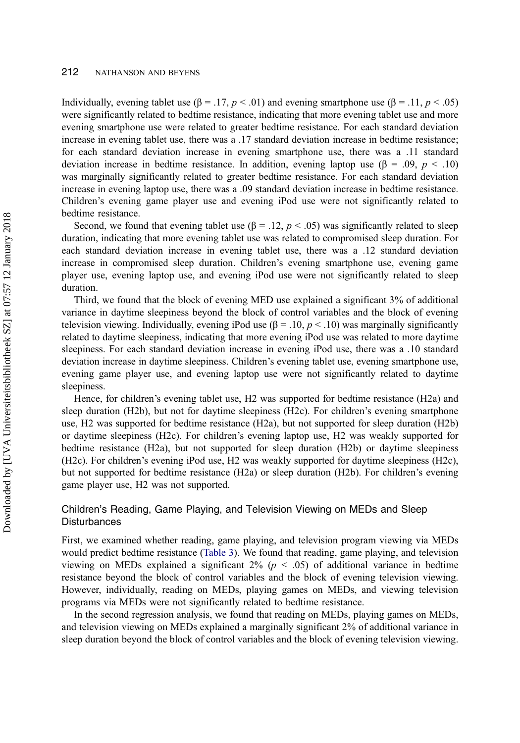Individually, evening tablet use ( $\beta = .17$ ,  $p < .01$ ) and evening smartphone use ( $\beta = .11$ ,  $p < .05$ ) were significantly related to bedtime resistance, indicating that more evening tablet use and more evening smartphone use were related to greater bedtime resistance. For each standard deviation increase in evening tablet use, there was a .17 standard deviation increase in bedtime resistance; for each standard deviation increase in evening smartphone use, there was a .11 standard deviation increase in bedtime resistance. In addition, evening laptop use (β = .09,  $p < .10$ ) was marginally significantly related to greater bedtime resistance. For each standard deviation increase in evening laptop use, there was a .09 standard deviation increase in bedtime resistance. Children's evening game player use and evening iPod use were not significantly related to bedtime resistance.

Second, we found that evening tablet use ( $\beta = 0.12$ ,  $p < 0.05$ ) was significantly related to sleep duration, indicating that more evening tablet use was related to compromised sleep duration. For each standard deviation increase in evening tablet use, there was a .12 standard deviation increase in compromised sleep duration. Children's evening smartphone use, evening game player use, evening laptop use, and evening iPod use were not significantly related to sleep duration.

Third, we found that the block of evening MED use explained a significant 3% of additional variance in daytime sleepiness beyond the block of control variables and the block of evening television viewing. Individually, evening iPod use ( $\beta$  = .10,  $p$  < .10) was marginally significantly related to daytime sleepiness, indicating that more evening iPod use was related to more daytime sleepiness. For each standard deviation increase in evening iPod use, there was a .10 standard deviation increase in daytime sleepiness. Children's evening tablet use, evening smartphone use, evening game player use, and evening laptop use were not significantly related to daytime sleepiness.

Hence, for children's evening tablet use, H2 was supported for bedtime resistance (H2a) and sleep duration (H2b), but not for daytime sleepiness (H2c). For children's evening smartphone use, H2 was supported for bedtime resistance (H2a), but not supported for sleep duration (H2b) or daytime sleepiness (H2c). For children's evening laptop use, H2 was weakly supported for bedtime resistance (H2a), but not supported for sleep duration (H2b) or daytime sleepiness (H2c). For children's evening iPod use, H2 was weakly supported for daytime sleepiness (H2c), but not supported for bedtime resistance (H2a) or sleep duration (H2b). For children's evening game player use, H2 was not supported.

## Children's Reading, Game Playing, and Television Viewing on MEDs and Sleep **Disturbances**

First, we examined whether reading, game playing, and television program viewing via MEDs would predict bedtime resistance (Table 3). We found that reading, game playing, and television viewing on MEDs explained a significant 2% ( $p < .05$ ) of additional variance in bedtime resistance beyond the block of control variables and the block of evening television viewing. However, individually, reading on MEDs, playing games on MEDs, and viewing television programs via MEDs were not significantly related to bedtime resistance.

In the second regression analysis, we found that reading on MEDs, playing games on MEDs, and television viewing on MEDs explained a marginally significant 2% of additional variance in sleep duration beyond the block of control variables and the block of evening television viewing.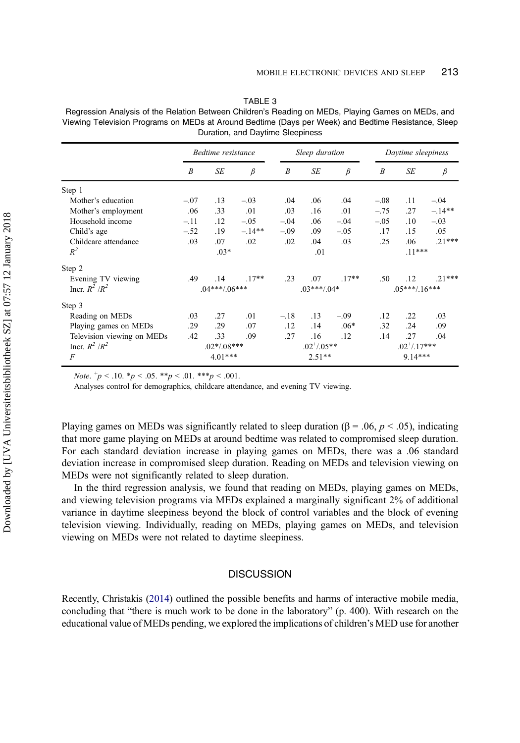TABLE 3 Regression Analysis of the Relation Between Children's Reading on MEDs, Playing Games on MEDs, and Viewing Television Programs on MEDs at Around Bedtime (Days per Week) and Bedtime Resistance, Sleep Duration, and Daytime Sleepiness

|                            | Bedtime resistance |           | Sleep duration  |        |          | Daytime sleepiness |        |          |          |
|----------------------------|--------------------|-----------|-----------------|--------|----------|--------------------|--------|----------|----------|
|                            | B                  | SE        | $\beta$         | B      | SE       | $\beta$            | B      | SE       | $\beta$  |
| Step 1                     |                    |           |                 |        |          |                    |        |          |          |
| Mother's education         | $-.07$             | .13       | $-.03$          | .04    | .06      | .04                | $-.08$ | .11      | $-.04$   |
| Mother's employment        | .06                | .33       | .01             | .03    | .16      | .01                | $-.75$ | .27      | $-.14**$ |
| Household income           | $-.11$             | .12       | $-.05$          | $-.04$ | .06      | $-.04$             | $-.05$ | .10      | $-.03$   |
| Child's age                | $-.52$             | .19       | $-.14**$        | $-.09$ | .09      | $-.05$             | .17    | .15      | .05      |
| Childcare attendance       | .03                | .07       | .02             | .02    | .04      | .03                | .25    | .06      | $.21***$ |
| $R^2$                      |                    | $.03*$    |                 |        | .01      |                    |        | $.11***$ |          |
| Step 2                     |                    |           |                 |        |          |                    |        |          |          |
| Evening TV viewing         | .49                | .14       | $.17**$         | .23    | .07      | $.17**$            | .50    | .12      | $.21***$ |
| Incr. $R^2/R^2$            | $.04***/06***$     |           | $.03***-.04*$   |        |          | $.05***/0.16***$   |        |          |          |
| Step 3                     |                    |           |                 |        |          |                    |        |          |          |
| Reading on MEDs            | .03                | .27       | .01             | $-.18$ | .13      | $-.09$             | .12    | .22      | .03      |
| Playing games on MEDs      | .29                | .29       | .07             | .12    | .14      | $.06*$             | .32    | .24      | .09      |
| Television viewing on MEDs | .42                | .33       | .09             | .27    | .16      | .12                | .14    | .27      | .04      |
| Incr. $R^2/R^2$            | $.02*/.08***$      |           | $.02^{+}/.05**$ |        |          | $.02^{+}$ /.17***  |        |          |          |
| $\overline{F}$             |                    | $4.01***$ |                 |        | $2.51**$ |                    |        | 9.14***  |          |

Note.  $^{\dagger}p$  < .10.  $^{\ast}p$  < .05.  $^{\ast\ast}p$  < .01.  $^{\ast\ast\ast}p$  < .001.

Analyses control for demographics, childcare attendance, and evening TV viewing.

Playing games on MEDs was significantly related to sleep duration ( $\beta = .06$ ,  $p < .05$ ), indicating that more game playing on MEDs at around bedtime was related to compromised sleep duration. For each standard deviation increase in playing games on MEDs, there was a .06 standard deviation increase in compromised sleep duration. Reading on MEDs and television viewing on MEDs were not significantly related to sleep duration.

In the third regression analysis, we found that reading on MEDs, playing games on MEDs, and viewing television programs via MEDs explained a marginally significant 2% of additional variance in daytime sleepiness beyond the block of control variables and the block of evening television viewing. Individually, reading on MEDs, playing games on MEDs, and television viewing on MEDs were not related to daytime sleepiness.

#### **DISCUSSION**

Recently, Christakis ([2014](#page-16-0)) outlined the possible benefits and harms of interactive mobile media, concluding that "there is much work to be done in the laboratory" (p. 400). With research on the educational value of MEDs pending, we explored the implications of children's MED use for another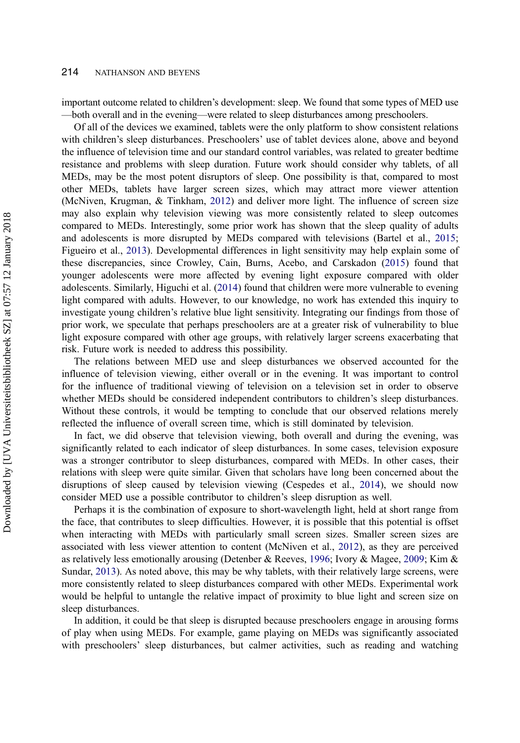important outcome related to children's development: sleep. We found that some types of MED use —both overall and in the evening—were related to sleep disturbances among preschoolers.

Of all of the devices we examined, tablets were the only platform to show consistent relations with children's sleep disturbances. Preschoolers' use of tablet devices alone, above and beyond the influence of television time and our standard control variables, was related to greater bedtime resistance and problems with sleep duration. Future work should consider why tablets, of all MEDs, may be the most potent disruptors of sleep. One possibility is that, compared to most other MEDs, tablets have larger screen sizes, which may attract more viewer attention (McNiven, Krugman, & Tinkham, [2012\)](#page-17-0) and deliver more light. The influence of screen size may also explain why television viewing was more consistently related to sleep outcomes compared to MEDs. Interestingly, some prior work has shown that the sleep quality of adults and adolescents is more disrupted by MEDs compared with televisions (Bartel et al., [2015;](#page-16-0) Figueiro et al., [2013](#page-16-0)). Developmental differences in light sensitivity may help explain some of these discrepancies, since Crowley, Cain, Burns, Acebo, and Carskadon [\(2015](#page-16-0)) found that younger adolescents were more affected by evening light exposure compared with older adolescents. Similarly, Higuchi et al. ([2014\)](#page-17-0) found that children were more vulnerable to evening light compared with adults. However, to our knowledge, no work has extended this inquiry to investigate young children's relative blue light sensitivity. Integrating our findings from those of prior work, we speculate that perhaps preschoolers are at a greater risk of vulnerability to blue light exposure compared with other age groups, with relatively larger screens exacerbating that risk. Future work is needed to address this possibility.

The relations between MED use and sleep disturbances we observed accounted for the influence of television viewing, either overall or in the evening. It was important to control for the influence of traditional viewing of television on a television set in order to observe whether MEDs should be considered independent contributors to children's sleep disturbances. Without these controls, it would be tempting to conclude that our observed relations merely reflected the influence of overall screen time, which is still dominated by television.

In fact, we did observe that television viewing, both overall and during the evening, was significantly related to each indicator of sleep disturbances. In some cases, television exposure was a stronger contributor to sleep disturbances, compared with MEDs. In other cases, their relations with sleep were quite similar. Given that scholars have long been concerned about the disruptions of sleep caused by television viewing (Cespedes et al., [2014\)](#page-16-0), we should now consider MED use a possible contributor to children's sleep disruption as well.

Perhaps it is the combination of exposure to short-wavelength light, held at short range from the face, that contributes to sleep difficulties. However, it is possible that this potential is offset when interacting with MEDs with particularly small screen sizes. Smaller screen sizes are associated with less viewer attention to content (McNiven et al., [2012](#page-17-0)), as they are perceived as relatively less emotionally arousing (Detenber & Reeves, [1996;](#page-16-0) Ivory & Magee, [2009](#page-17-0); Kim & Sundar, [2013\)](#page-17-0). As noted above, this may be why tablets, with their relatively large screens, were more consistently related to sleep disturbances compared with other MEDs. Experimental work would be helpful to untangle the relative impact of proximity to blue light and screen size on sleep disturbances.

In addition, it could be that sleep is disrupted because preschoolers engage in arousing forms of play when using MEDs. For example, game playing on MEDs was significantly associated with preschoolers' sleep disturbances, but calmer activities, such as reading and watching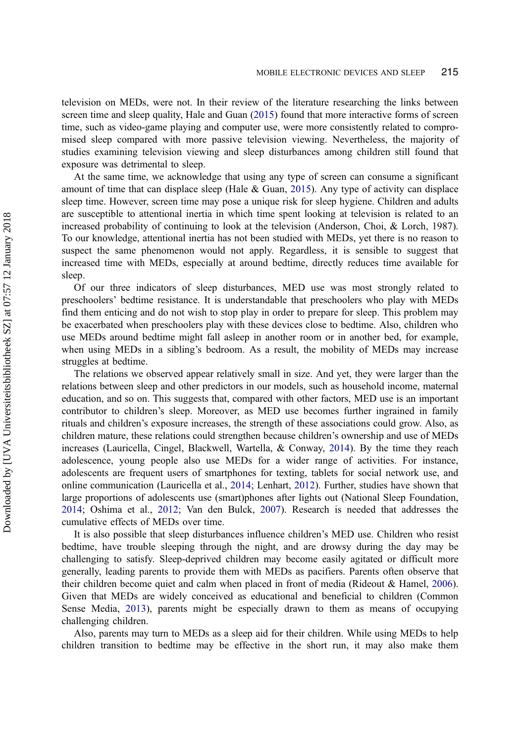television on MEDs, were not. In their review of the literature researching the links between screen time and sleep quality, Hale and Guan ([2015\)](#page-17-0) found that more interactive forms of screen time, such as video-game playing and computer use, were more consistently related to compromised sleep compared with more passive television viewing. Nevertheless, the majority of studies examining television viewing and sleep disturbances among children still found that exposure was detrimental to sleep.

At the same time, we acknowledge that using any type of screen can consume a significant amount of time that can displace sleep (Hale  $\&$  Guan, [2015\)](#page-17-0). Any type of activity can displace sleep time. However, screen time may pose a unique risk for sleep hygiene. Children and adults are susceptible to attentional inertia in which time spent looking at television is related to an increased probability of continuing to look at the television (Anderson, Choi, & Lorch, 1987). To our knowledge, attentional inertia has not been studied with MEDs, yet there is no reason to suspect the same phenomenon would not apply. Regardless, it is sensible to suggest that increased time with MEDs, especially at around bedtime, directly reduces time available for sleep.

Of our three indicators of sleep disturbances, MED use was most strongly related to preschoolers' bedtime resistance. It is understandable that preschoolers who play with MEDs find them enticing and do not wish to stop play in order to prepare for sleep. This problem may be exacerbated when preschoolers play with these devices close to bedtime. Also, children who use MEDs around bedtime might fall asleep in another room or in another bed, for example, when using MEDs in a sibling's bedroom. As a result, the mobility of MEDs may increase struggles at bedtime.

The relations we observed appear relatively small in size. And yet, they were larger than the relations between sleep and other predictors in our models, such as household income, maternal education, and so on. This suggests that, compared with other factors, MED use is an important contributor to children's sleep. Moreover, as MED use becomes further ingrained in family rituals and children's exposure increases, the strength of these associations could grow. Also, as children mature, these relations could strengthen because children's ownership and use of MEDs increases (Lauricella, Cingel, Blackwell, Wartella, & Conway, [2014](#page-17-0)). By the time they reach adolescence, young people also use MEDs for a wider range of activities. For instance, adolescents are frequent users of smartphones for texting, tablets for social network use, and online communication (Lauricella et al., [2014](#page-17-0); Lenhart, [2012](#page-17-0)). Further, studies have shown that large proportions of adolescents use (smart)phones after lights out (National Sleep Foundation, [2014;](#page-17-0) Oshima et al., [2012;](#page-18-0) Van den Bulck, [2007](#page-18-0)). Research is needed that addresses the cumulative effects of MEDs over time.

It is also possible that sleep disturbances influence children's MED use. Children who resist bedtime, have trouble sleeping through the night, and are drowsy during the day may be challenging to satisfy. Sleep-deprived children may become easily agitated or difficult more generally, leading parents to provide them with MEDs as pacifiers. Parents often observe that their children become quiet and calm when placed in front of media (Rideout & Hamel, [2006\)](#page-18-0). Given that MEDs are widely conceived as educational and beneficial to children (Common Sense Media, [2013\)](#page-16-0), parents might be especially drawn to them as means of occupying challenging children.

Also, parents may turn to MEDs as a sleep aid for their children. While using MEDs to help children transition to bedtime may be effective in the short run, it may also make them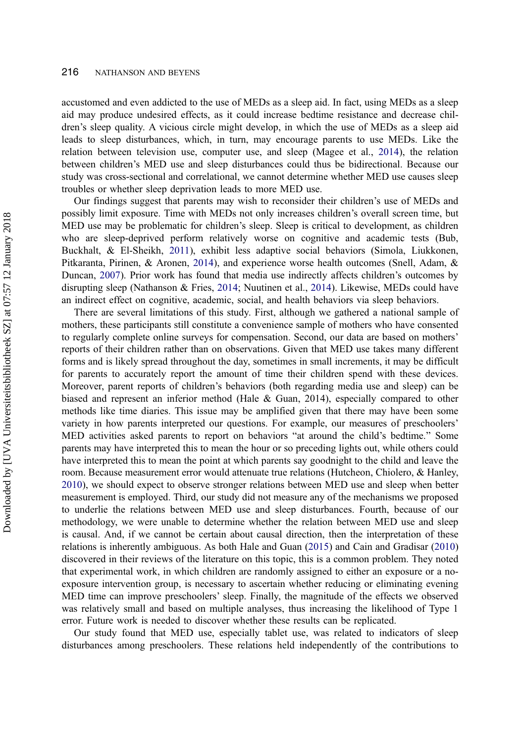accustomed and even addicted to the use of MEDs as a sleep aid. In fact, using MEDs as a sleep aid may produce undesired effects, as it could increase bedtime resistance and decrease children's sleep quality. A vicious circle might develop, in which the use of MEDs as a sleep aid leads to sleep disturbances, which, in turn, may encourage parents to use MEDs. Like the relation between television use, computer use, and sleep (Magee et al., [2014\)](#page-17-0), the relation between children's MED use and sleep disturbances could thus be bidirectional. Because our study was cross-sectional and correlational, we cannot determine whether MED use causes sleep troubles or whether sleep deprivation leads to more MED use.

Our findings suggest that parents may wish to reconsider their children's use of MEDs and possibly limit exposure. Time with MEDs not only increases children's overall screen time, but MED use may be problematic for children's sleep. Sleep is critical to development, as children who are sleep-deprived perform relatively worse on cognitive and academic tests (Bub, Buckhalt, & El-Sheikh, [2011\)](#page-16-0), exhibit less adaptive social behaviors (Simola, Liukkonen, Pitkaranta, Pirinen, & Aronen, [2014](#page-18-0)), and experience worse health outcomes (Snell, Adam, & Duncan, [2007\)](#page-18-0). Prior work has found that media use indirectly affects children's outcomes by disrupting sleep (Nathanson & Fries, [2014;](#page-17-0) Nuutinen et al., [2014](#page-18-0)). Likewise, MEDs could have an indirect effect on cognitive, academic, social, and health behaviors via sleep behaviors.

There are several limitations of this study. First, although we gathered a national sample of mothers, these participants still constitute a convenience sample of mothers who have consented to regularly complete online surveys for compensation. Second, our data are based on mothers' reports of their children rather than on observations. Given that MED use takes many different forms and is likely spread throughout the day, sometimes in small increments, it may be difficult for parents to accurately report the amount of time their children spend with these devices. Moreover, parent reports of children's behaviors (both regarding media use and sleep) can be biased and represent an inferior method (Hale & Guan, 2014), especially compared to other methods like time diaries. This issue may be amplified given that there may have been some variety in how parents interpreted our questions. For example, our measures of preschoolers' MED activities asked parents to report on behaviors "at around the child's bedtime." Some parents may have interpreted this to mean the hour or so preceding lights out, while others could have interpreted this to mean the point at which parents say goodnight to the child and leave the room. Because measurement error would attenuate true relations (Hutcheon, Chiolero, & Hanley, [2010\)](#page-17-0), we should expect to observe stronger relations between MED use and sleep when better measurement is employed. Third, our study did not measure any of the mechanisms we proposed to underlie the relations between MED use and sleep disturbances. Fourth, because of our methodology, we were unable to determine whether the relation between MED use and sleep is causal. And, if we cannot be certain about causal direction, then the interpretation of these relations is inherently ambiguous. As both Hale and Guan ([2015\)](#page-17-0) and Cain and Gradisar [\(2010](#page-16-0)) discovered in their reviews of the literature on this topic, this is a common problem. They noted that experimental work, in which children are randomly assigned to either an exposure or a noexposure intervention group, is necessary to ascertain whether reducing or eliminating evening MED time can improve preschoolers' sleep. Finally, the magnitude of the effects we observed was relatively small and based on multiple analyses, thus increasing the likelihood of Type 1 error. Future work is needed to discover whether these results can be replicated.

Our study found that MED use, especially tablet use, was related to indicators of sleep disturbances among preschoolers. These relations held independently of the contributions to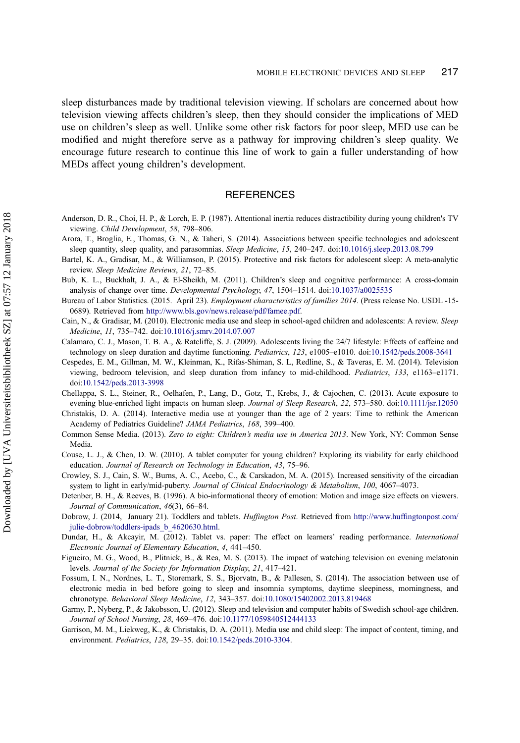<span id="page-16-0"></span>sleep disturbances made by traditional television viewing. If scholars are concerned about how television viewing affects children's sleep, then they should consider the implications of MED use on children's sleep as well. Unlike some other risk factors for poor sleep, MED use can be modified and might therefore serve as a pathway for improving children's sleep quality. We encourage future research to continue this line of work to gain a fuller understanding of how MEDs affect young children's development.

## **REFERENCES**

- Anderson, D. R., Choi, H. P., & Lorch, E. P. (1987). Attentional inertia reduces distractibility during young children's TV viewing. Child Development, 58, 798–806.
- Arora, T., Broglia, E., Thomas, G. N., & Taheri, S. (2014). Associations between specific technologies and adolescent sleep quantity, sleep quality, and parasomnias. Sleep Medicine, 15, 240–247. doi:[10.1016/j.sleep.2013.08.799](http://dx.doi.org/10.1016/j.sleep.2013.08.799)
- Bartel, K. A., Gradisar, M., & Williamson, P. (2015). Protective and risk factors for adolescent sleep: A meta-analytic review. Sleep Medicine Reviews, 21, 72–85.
- Bub, K. L., Buckhalt, J. A., & El-Sheikh, M. (2011). Children's sleep and cognitive performance: A cross-domain analysis of change over time. Developmental Psychology, 47, 1504–1514. doi[:10.1037/a0025535](http://dx.doi.org/10.1037/a0025535)
- Bureau of Labor Statistics. (2015. April 23). Employment characteristics of families 2014. (Press release No. USDL -15- 0689). Retrieved from [http://www.bls.gov/news.release/pdf/famee.pdf.](http://www.bls.gov/news.release/pdf/famee.pdf)
- Cain, N., & Gradisar, M. (2010). Electronic media use and sleep in school-aged children and adolescents: A review. Sleep Medicine, 11, 735–742. doi[:10.1016/j.smrv.2014.07.007](http://dx.doi.org/10.1016/j.smrv.2014.07.007)
- Calamaro, C. J., Mason, T. B. A., & Ratcliffe, S. J. (2009). Adolescents living the 24/7 lifestyle: Effects of caffeine and technology on sleep duration and daytime functioning. Pediatrics, 123, e1005–e1010. doi:[10.1542/peds.2008-3641](http://dx.doi.org/10.1542/peds.2008-3641)
- Cespedes, E. M., Gillman, M. W., Kleinman, K., Rifas-Shiman, S. L, Redline, S., & Taveras, E. M. (2014). Television viewing, bedroom television, and sleep duration from infancy to mid-childhood. Pediatrics, 133, e1163–e1171. doi:[10.1542/peds.2013-3998](http://dx.doi.org/10.1542/peds.2013-3998)
- Chellappa, S. L., Steiner, R., Oelhafen, P., Lang, D., Gotz, T., Krebs, J., & Cajochen, C. (2013). Acute exposure to evening blue-enriched light impacts on human sleep. Journal of Sleep Research, 22, 573–580. doi[:10.1111/jsr.12050](http://dx.doi.org/10.1111/jsr.12050)
- Christakis, D. A. (2014). Interactive media use at younger than the age of 2 years: Time to rethink the American Academy of Pediatrics Guideline? JAMA Pediatrics, 168, 399–400.
- Common Sense Media. (2013). Zero to eight: Children's media use in America 2013. New York, NY: Common Sense Media.
- Couse, L. J., & Chen, D. W. (2010). A tablet computer for young children? Exploring its viability for early childhood education. Journal of Research on Technology in Education, 43, 75–96.
- Crowley, S. J., Cain, S. W., Burns, A. C., Acebo, C., & Carskadon, M. A. (2015). Increased sensitivity of the circadian system to light in early/mid-puberty. Journal of Clinical Endocrinology & Metabolism, 100, 4067–4073.
- Detenber, B. H., & Reeves, B. (1996). A bio-informational theory of emotion: Motion and image size effects on viewers. Journal of Communication, 46(3), 66–84.
- Dobrow, J. (2014, January 21). Toddlers and tablets. Huffington Post. Retrieved from [http://www.huffingtonpost.com/](http://www.huffingtonpost.com/julie-dobrow/toddlers-ipads_b_4620630.html) [julie-dobrow/toddlers-ipads\\_b\\_4620630.html](http://www.huffingtonpost.com/julie-dobrow/toddlers-ipads_b_4620630.html).
- Dundar, H., & Akcayir, M. (2012). Tablet vs. paper: The effect on learners' reading performance. International Electronic Journal of Elementary Education, 4, 441–450.
- Figueiro, M. G., Wood, B., Plitnick, B., & Rea, M. S. (2013). The impact of watching television on evening melatonin levels. Journal of the Society for Information Display, 21, 417–421.
- Fossum, I. N., Nordnes, L. T., Storemark, S. S., Bjorvatn, B., & Pallesen, S. (2014). The association between use of electronic media in bed before going to sleep and insomnia symptoms, daytime sleepiness, morningness, and chronotype. Behavioral Sleep Medicine, 12, 343–357. doi[:10.1080/15402002.2013.819468](http://dx.doi.org/10.1080/15402002.2013.819468)
- Garmy, P., Nyberg, P., & Jakobsson, U. (2012). Sleep and television and computer habits of Swedish school-age children. Journal of School Nursing, 28, 469–476. doi[:10.1177/1059840512444133](http://dx.doi.org/10.1177/1059840512444133)
- Garrison, M. M., Liekweg, K., & Christakis, D. A. (2011). Media use and child sleep: The impact of content, timing, and environment. Pediatrics, 128, 29–35. doi[:10.1542/peds.2010-3304](http://dx.doi.org/10.1542/peds.2010-3304).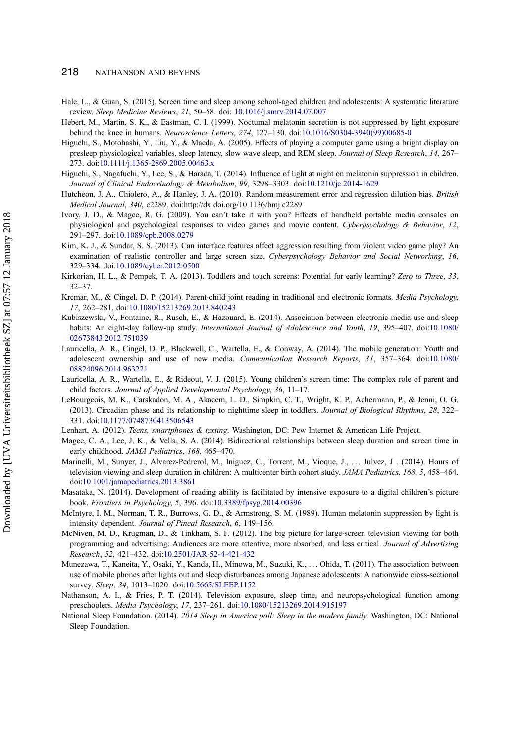- <span id="page-17-0"></span>Hale, L., & Guan, S. (2015). Screen time and sleep among school-aged children and adolescents: A systematic literature review. Sleep Medicine Reviews, 21, 50–58. doi: [10.1016/j.smrv.2014.07.007](http://dx.doi.org/10.1016/j.smrv.2014.07.007)
- Hebert, M., Martin, S. K., & Eastman, C. I. (1999). Nocturnal melatonin secretion is not suppressed by light exposure behind the knee in humans. Neuroscience Letters, 274, 127–130. doi[:10.1016/S0304-3940\(99\)00685-0](http://dx.doi.org/10.1016/S0304-3940(99)00685-0)
- Higuchi, S., Motohashi, Y., Liu, Y., & Maeda, A. (2005). Effects of playing a computer game using a bright display on presleep physiological variables, sleep latency, slow wave sleep, and REM sleep. Journal of Sleep Research, 14, 267– 273. doi:[10.1111/j.1365-2869.2005.00463.x](http://dx.doi.org/10.1111/j.1365-2869.2005.00463.x)
- Higuchi, S., Nagafuchi, Y., Lee, S., & Harada, T. (2014). Influence of light at night on melatonin suppression in children. Journal of Clinical Endocrinology & Metabolism, 99, 3298–3303. doi:[10.1210/jc.2014-1629](http://dx.doi.org/10.1210/jc.2014-1629)
- Hutcheon, J. A., Chiolero, A., & Hanley, J. A. (2010). Random measurement error and regression dilution bias. British Medical Journal, 340, c2289. doi:http://dx.doi.org/10.1136/bmj.c2289
- Ivory, J. D., & Magee, R. G. (2009). You can't take it with you? Effects of handheld portable media consoles on physiological and psychological responses to video games and movie content. Cyberpsychology & Behavior, 12, 291–297. doi[:10.1089/cpb.2008.0279](http://dx.doi.org/10.1089/cpb.2008.0279)
- Kim, K. J., & Sundar, S. S. (2013). Can interface features affect aggression resulting from violent video game play? An examination of realistic controller and large screen size. Cyberpsychology Behavior and Social Networking, 16, 329–334. doi[:10.1089/cyber.2012.0500](http://dx.doi.org/10.1089/cyber.2012.0500)
- Kirkorian, H. L., & Pempek, T. A. (2013). Toddlers and touch screens: Potential for early learning? Zero to Three, 33, 32–37.
- Krcmar, M., & Cingel, D. P. (2014). Parent-child joint reading in traditional and electronic formats. Media Psychology, 17, 262–281. doi[:10.1080/15213269.2013.840243](http://dx.doi.org/10.1080/15213269.2013.840243)
- Kubiszewski, V., Fontaine, R., Rusch, E., & Hazouard, E. (2014). Association between electronic media use and sleep habits: An eight-day follow-up study. International Journal of Adolescence and Youth, 19, 395-407. doi[:10.1080/](http://dx.doi.org/10.1080/02673843.2012.751039) [02673843.2012.751039](http://dx.doi.org/10.1080/02673843.2012.751039)
- Lauricella, A. R., Cingel, D. P., Blackwell, C., Wartella, E., & Conway, A. (2014). The mobile generation: Youth and adolescent ownership and use of new media. Communication Research Reports, 31, 357–364. doi[:10.1080/](http://dx.doi.org/10.1080/08824096.2014.963221) [08824096.2014.963221](http://dx.doi.org/10.1080/08824096.2014.963221)
- Lauricella, A. R., Wartella, E., & Rideout, V. J. (2015). Young children's screen time: The complex role of parent and child factors. Journal of Applied Developmental Psychology, 36, 11–17.
- LeBourgeois, M. K., Carskadon, M. A., Akacem, L. D., Simpkin, C. T., Wright, K. P., Achermann, P., & Jenni, O. G. (2013). Circadian phase and its relationship to nighttime sleep in toddlers. Journal of Biological Rhythms, 28, 322– 331. doi:[10.1177/0748730413506543](http://dx.doi.org/10.1177/0748730413506543)
- Lenhart, A. (2012). Teens, smartphones & texting. Washington, DC: Pew Internet & American Life Project.
- Magee, C. A., Lee, J. K., & Vella, S. A. (2014). Bidirectional relationships between sleep duration and screen time in early childhood. JAMA Pediatrics, 168, 465-470.
- Marinelli, M., Sunyer, J., Alvarez-Pedrerol, M., Iniguez, C., Torrent, M., Vioque, J., . . . Julvez, J . (2014). Hours of television viewing and sleep duration in children: A multicenter birth cohort study. JAMA Pediatrics, 168, 5, 458-464. doi[:10.1001/jamapediatrics.2013.3861](http://dx.doi.org/10.1001/jamapediatrics.2013.3861)
- Masataka, N. (2014). Development of reading ability is facilitated by intensive exposure to a digital children's picture book. Frontiers in Psychology, 5, 396. doi:[10.3389/fpsyg.2014.00396](http://dx.doi.org/10.3389/fpsyg.2014.00396)
- McIntyre, I. M., Norman, T. R., Burrows, G. D., & Armstrong, S. M. (1989). Human melatonin suppression by light is intensity dependent. Journal of Pineal Research, 6, 149–156.
- McNiven, M. D., Krugman, D., & Tinkham, S. F. (2012). The big picture for large-screen television viewing for both programming and advertising: Audiences are more attentive, more absorbed, and less critical. Journal of Advertising Research, 52, 421–432. doi:[10.2501/JAR-52-4-421-432](http://dx.doi.org/10.2501/JAR-52-4-421-432)
- Munezawa, T., Kaneita, Y., Osaki, Y., Kanda, H., Minowa, M., Suzuki, K., . . . Ohida, T. (2011). The association between use of mobile phones after lights out and sleep disturbances among Japanese adolescents: A nationwide cross-sectional survey. Sleep, 34, 1013–1020. doi:[10.5665/SLEEP.1152](http://dx.doi.org/10.5665/SLEEP.1152)
- Nathanson, A. I., & Fries, P. T. (2014). Television exposure, sleep time, and neuropsychological function among preschoolers. Media Psychology, 17, 237–261. doi:[10.1080/15213269.2014.915197](http://dx.doi.org/10.1080/15213269.2014.915197)
- National Sleep Foundation. (2014). 2014 Sleep in America poll: Sleep in the modern family. Washington, DC: National Sleep Foundation.